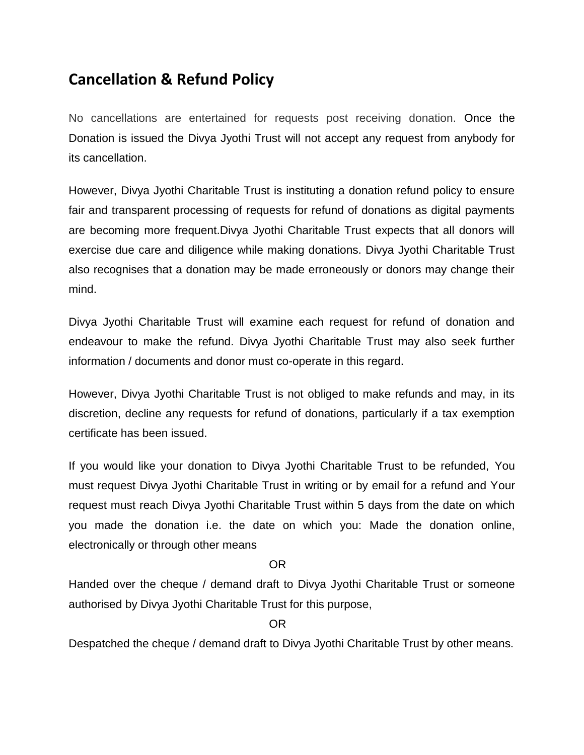## **Cancellation & Refund Policy**

No cancellations are entertained for requests post receiving donation. Once the Donation is issued the Divya Jyothi Trust will not accept any request from anybody for its cancellation.

However, Divya Jyothi Charitable Trust is instituting a donation refund policy to ensure fair and transparent processing of requests for refund of donations as digital payments are becoming more frequent.Divya Jyothi Charitable Trust expects that all donors will exercise due care and diligence while making donations. Divya Jyothi Charitable Trust also recognises that a donation may be made erroneously or donors may change their mind.

Divya Jyothi Charitable Trust will examine each request for refund of donation and endeavour to make the refund. Divya Jyothi Charitable Trust may also seek further information / documents and donor must co-operate in this regard.

However, Divya Jyothi Charitable Trust is not obliged to make refunds and may, in its discretion, decline any requests for refund of donations, particularly if a tax exemption certificate has been issued.

If you would like your donation to Divya Jyothi Charitable Trust to be refunded, You must request Divya Jyothi Charitable Trust in writing or by email for a refund and Your request must reach Divya Jyothi Charitable Trust within 5 days from the date on which you made the donation i.e. the date on which you: Made the donation online, electronically or through other means

## **OR** Service Contract of the Service Contract of the Service Contract of the Service Contract of the Service Contract of the Service Contract of the Service Contract of the Service Contract of the Service Contract of the S

Handed over the cheque / demand draft to Divya Jyothi Charitable Trust or someone authorised by Divya Jyothi Charitable Trust for this purpose,

**OR** Service Contract of the Service Contract of the Service Contract of the Service Contract of the Service Contract of the Service Contract of the Service Contract of the Service Contract of the Service Contract of the S

Despatched the cheque / demand draft to Divya Jyothi Charitable Trust by other means.